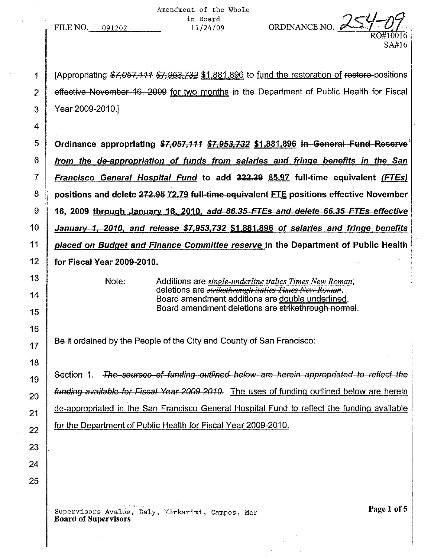Amendment of the Whole in Board<br> $11/24/09$ 

FILE NO. 091202

1 | [Appropriating \$7,057,111 \$7,953,732 \$1,881,896 to fund the restoration of restore-positions 2 **E** effective November 16, 2009 for two months in the Department of Public Health for Fiscal 3 Year 2009-2010.]

ORDINANCE NO.  $\ell$ 

RO#10016 SA#16

5 Crdinance appropriating  $$7,057,111$   $$7,953,732$   $$1,881,896$  in General Fund Reserve  $6$  from the de-appropriation of funds from salaries and fringe benefits in the San 7 Francisco General Hospital Fund to add 322.39 85.97 full-time equivalent (FTEs) 8 positions and delete 272.95 72.79 full-time equivalent FTE positions effective November  $9$  16, 2009 through January 16, 2010, add 66.35 FTEs and delete 66.35 FTEs effective 10 January 1, 2010, and release  $$7,953,732$   $$1,881,896$  of salaries and fringe benefits 11 placed on Budget and Finance Committee reserve in the Department of Public Health 12 for Fiscal Year 2009-2010.

Note: Additions are *single-underline italics Times New Roman;* deletions are *strikethfflugh italies Times New Reman.* Board amendment additions are double underlined. Board amendment deletions are strikethrough normal.

Be it ordained by the People of the City and County of San Francisco:

Section 1. The sources of funding outlined below are herein appropriated to reflect the funding available for Fiscal Year 2009-2010. The uses of funding outlined below are herein de-appropriated in the San Francisco General Hospital Fund to reflect the funding available for the Department of Public Health for Fiscal Year 2009-201O.

Supervisors Avalós, Daly, Mirkarimi, Campos, Mar Board of Supervisors

Page 1 of 5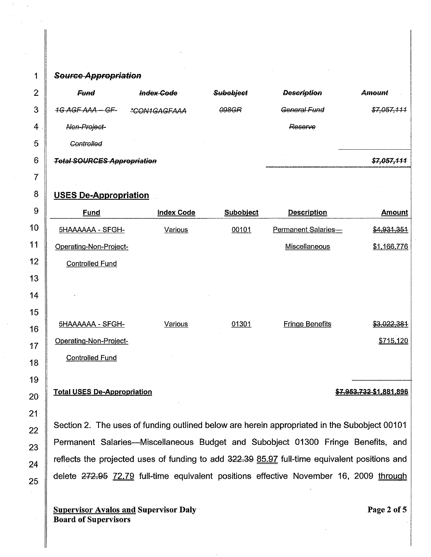## 1 Source Appropriation

| ⌒ | <b>Fund</b>                        | <b>Index Code</b> | Subobject | <b>Description</b> | Amount      |
|---|------------------------------------|-------------------|-----------|--------------------|-------------|
| n | 1G AGF AAA - GF-                   | *CON1GAGFAAA      | 098GR     | General Fund       | \$7,057,111 |
| 4 | Non-Project-                       |                   |           | Reserve            |             |
| 5 | Controlled                         |                   |           |                    |             |
| 6 | <b>Total SOURCES Appropriation</b> |                   |           | \$7,057,111        |             |

## 8 USES De-Appropriation

| 9  | <b>Fund</b>                        | <b>Index Code</b> | <b>Subobject</b> | <b>Description</b>     | <b>Amount</b>           |
|----|------------------------------------|-------------------|------------------|------------------------|-------------------------|
| 10 | 5HAAAAAA - SFGH-                   | Various           | 00101            | Permanent Salaries-    | \$4,931,351             |
| 11 | Operating-Non-Project-             |                   |                  | Miscellaneous          | \$1,166,776             |
| 12 | <b>Controlled Fund</b>             |                   |                  |                        |                         |
| 13 |                                    |                   |                  |                        |                         |
| 14 |                                    |                   |                  |                        |                         |
| 15 |                                    |                   |                  |                        |                         |
| 16 | 5HAAAAAA - SFGH-                   | Various           | 01301            | <b>Fringe Benefits</b> | \$3,022,381             |
| 17 | <b>Operating-Non-Project-</b>      |                   |                  |                        | \$715,120               |
| 18 | <b>Controlled Fund</b>             |                   |                  |                        |                         |
| 19 |                                    |                   |                  |                        |                         |
| 20 | <b>Total USES De-Appropriation</b> |                   |                  |                        | \$7,953,732 \$1,881,896 |

Section 2, The uses of funding outlined below are herein appropriated in the Subobject 00101 Permanent Salaries-Miscellaneous Budget and Subobject 01300 Fringe Benefits, and reflects the projected uses of funding to add 322.39 85.97 full-time equivalent positions and delete 272.95 72.79 full-time equivalent positions effective November 16, 2009 through

Supervisor Avalos and Supervisor Daly Board of Supervisors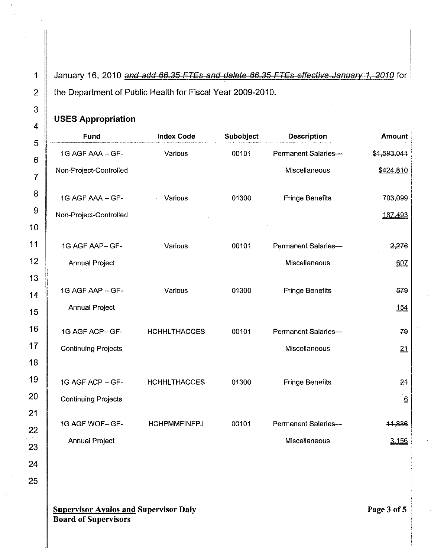1 January 16, 2010 and add 66.35 FTEs and delete 66.35 FTEs effective January 1, 2010 for 2 the Department of Public Health for Fiscal Year 2009-2010.

## **USES Appropriation**

| ┅┱             |                            |                     |           |                        |                             |
|----------------|----------------------------|---------------------|-----------|------------------------|-----------------------------|
| 5              | Fund                       | <b>Index Code</b>   | Subobject | <b>Description</b>     | <b>Amount</b>               |
| $\epsilon$     | 1G AGF AAA - GF-           | Various             | 00101     | Permanent Salaries-    | \$1,593,044                 |
| $\overline{7}$ | Non-Project-Controlled     |                     |           | Miscellaneous          | \$424,810                   |
|                |                            |                     |           |                        |                             |
| 8              | 1G AGF AAA - GF-           | Various             | 01300     | <b>Fringe Benefits</b> | 703,099                     |
| 9              | Non-Project-Controlled     |                     |           |                        | 187,493                     |
| 10             |                            |                     |           |                        |                             |
| 11             | 1G AGF AAP-GF-             | Various             | 00101     | Permanent Salaries-    | 2,276                       |
| 12             | <b>Annual Project</b>      |                     |           | Miscellaneous          | 607                         |
| 13             |                            |                     |           |                        |                             |
| 14             | 1G AGF AAP - GF-           | Various             | 01300     | <b>Fringe Benefits</b> | 579                         |
| 15             | <b>Annual Project</b>      |                     |           |                        | 154                         |
| 16             | 1G AGF ACP-GF-             | <b>HCHHLTHACCES</b> | 00101     | Permanent Salaries-    | 79                          |
| 17             | <b>Continuing Projects</b> |                     |           | Miscellaneous          |                             |
| 18             |                            |                     |           |                        | 21                          |
|                |                            |                     |           |                        |                             |
| 19             | 1G AGF ACP - GF-           | <b>HCHHLTHACCES</b> | 01300     | <b>Fringe Benefits</b> | 24                          |
| 20             | <b>Continuing Projects</b> |                     |           |                        | $\underline{\underline{6}}$ |
| 21             |                            |                     |           |                        |                             |
| 22             | 1G AGF WOF-GF-             | <b>HCHPMMFINFPJ</b> | 00101     | Permanent Salaries-    | 11,836                      |
| 23             | <b>Annual Project</b>      |                     |           | Miscellaneous          | 3,156                       |

**Supervisor Avalos and Supervisor Daly Board of Supervisors**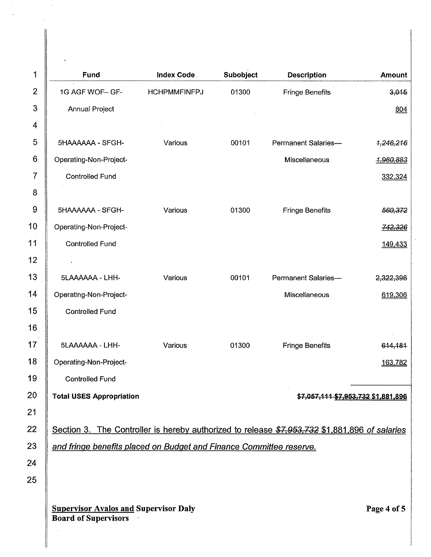| 1              | Fund                                                                                          | <b>Index Code</b>   | Subobject | <b>Description</b>                  | <b>Amount</b> |
|----------------|-----------------------------------------------------------------------------------------------|---------------------|-----------|-------------------------------------|---------------|
| $\overline{2}$ | 1G AGF WOF- GF-                                                                               | <b>HCHPMMFINFPJ</b> | 01300     | <b>Fringe Benefits</b>              | 3,015         |
| 3              | <b>Annual Project</b>                                                                         |                     |           |                                     | 804           |
| 4              |                                                                                               |                     |           |                                     |               |
| 5              | 5HAAAAAA - SFGH-                                                                              | Various             | 00101     | <b>Permanent Salaries-</b>          | 1,246,216     |
| 6              | Operating-Non-Project-                                                                        |                     |           | Miscellaneous                       | 1,960,883     |
| 7              | <b>Controlled Fund</b>                                                                        |                     |           |                                     | 332,324       |
| 8              |                                                                                               |                     |           |                                     |               |
| 9              | 5HAAAAAA - SFGH-                                                                              | Various             | 01300     | <b>Fringe Benefits</b>              | 560,372       |
| 10             | Operating-Non-Project-                                                                        |                     |           |                                     | 742,326       |
| 11             | <b>Controlled Fund</b>                                                                        |                     |           |                                     | 149,433       |
| 12             |                                                                                               |                     |           |                                     |               |
| 13             | 5LAAAAAA - LHH-                                                                               | Various             | 00101     | Permanent Salaries-                 | 2.322,396     |
| 14             | Operating-Non-Project-                                                                        |                     |           | Miscellaneous                       | 619,306       |
| 15             | <b>Controlled Fund</b>                                                                        |                     |           |                                     |               |
| 16             |                                                                                               |                     |           |                                     |               |
| 17             | 5LAAAAAA - LHH-                                                                               | Various             | 01300     | <b>Fringe Benefits</b>              | 614,181       |
| 18             | Operating-Non-Project-                                                                        |                     |           |                                     | 163,782       |
| 19             | <b>Controlled Fund</b>                                                                        |                     |           |                                     |               |
| 20             | <b>Total USES Appropriation</b>                                                               |                     |           | \$7,057,111 \$7,953,732 \$1,881,896 |               |
| 21             |                                                                                               |                     |           |                                     |               |
| 22             | Section 3. The Controller is hereby authorized to release \$7,953,732 \$1,881,896 of salaries |                     |           |                                     |               |
| 23             | and fringe benefits placed on Budget and Finance Committee reserve.                           |                     |           |                                     |               |
| 24             |                                                                                               |                     |           |                                     |               |
| 25             |                                                                                               |                     |           |                                     |               |
|                |                                                                                               |                     |           |                                     |               |
|                | <b>Supervisor Avalos and Supervisor Daly</b><br><b>Board of Supervisors</b>                   |                     |           |                                     | Page 4 of 5   |

 $\sim$ 

 $\parallel$ 

 $\mathcal{L}^{\text{max}}_{\text{max}}$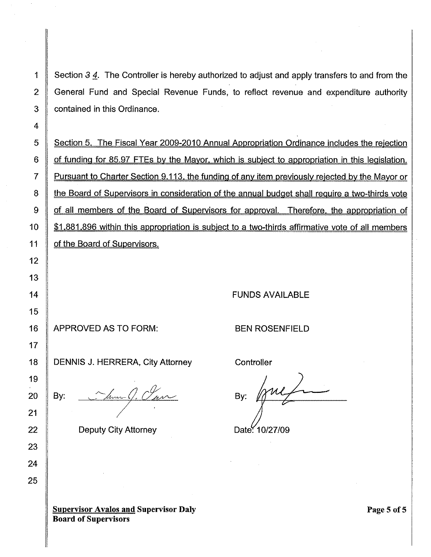1 Section 3 4. The Controller is hereby authorized to adjust and apply transfers to and from the 2 General Fund and Special Revenue Funds, to reflect revenue and expenditure authority 3 **contained in this Ordinance.** 

5 Section 5. The Fiscal Year 2009-2010 Annual Appropriation Ordinance includes the rejection 6 **of funding for 85.97 FTEs by the Mayor, which is subject to appropriation in this legislation.** 7 Pursuant to Charter Section 9.113, the funding of any item previously rejected by the Mayor or 8 the Board of Supervisors in consideration of the annual budget shall require a two-thirds vote 9 of all members of the Board of Supervisors for approval. Therefore, the appropriation of 10  $\parallel$  \$1,881,896 within this appropriation is subject to a two-thirds affirmative vote of all members 11 | of the Board of Supervisors.

FUNDS AVAILABLE

16 APPROVED AS TO FORM:

BEN ROSENFIELD

DENNIS J. HERRERA, City Attorney

By:

22 **Deputy City Attorney** 

**Controller** 

By: Date: 10/27/09

**Supervisor Avalos and Supervisor Daly Board of Supervisors**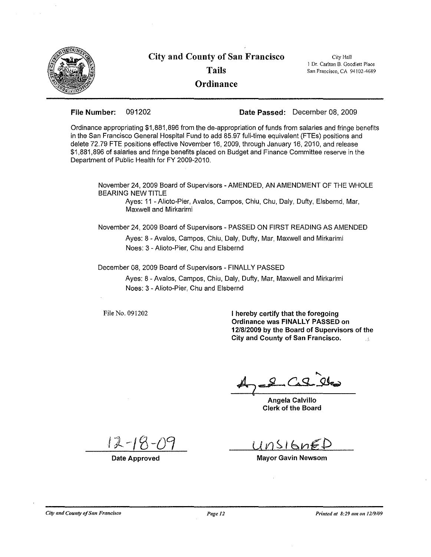

File Number: 091202 Date Passed: December 08, 2009

Ordinance appropriating \$1,881,896 from the de-appropriation of funds from salaries and fringe benefits in the San Francisco General Hospital Fund to add 85.97 full-time equivalent (FTEs) positions and delete 72.79 FTE positions effective November 16, 2009, through January 16, 2010, and release \$1,881,896 of salaries and fringe benefits placed on Budget and Finance Committee reserve in the Department of Public Health for FY 2009-2010.

November 24, 2009 Board of Supervisors - AMENDED, AN AMENDMENT OF THE WHOLE BEARING NEW TITLE

Ayes: 11 - Alioto-Pier, Avalos, Campos, Chiu, Chu, Daly, Dufty, Elsbernd, Mar, Maxwell and Mirkarimi

November 24, 2009 Board of Supervisors - PASSED ON FIRST READING AS AMENDED

Ayes: 8 - Avalos, Campos, Chiu, Daly, Dufty, Mar, Maxwell and Mirkarimi Noes: 3 - Alioto-Pier, Chu and Elsbernd

December 08, 2009 Board of Supervisors - FINALLY PASSED

Ayes: 8 - Avalos, Campos, Chiu, Daly, Dufty, Mar, Maxwell and Mirkarimi Noes: 3 - Alioto-Pier, Chu and Elsbernd

File No. 091202

I hereby certify that the foregoing Ordinance was FINALLY PASSED on 12/8/2009 by the Board of Supervisors of the City and County of San Francisco.  $\hat{A}$ 

 $C_49$ 

Angela Calvillo Clerk of the Board

Date Approved

 $11nsI6nE$ 

Mayor Gavin Newsom